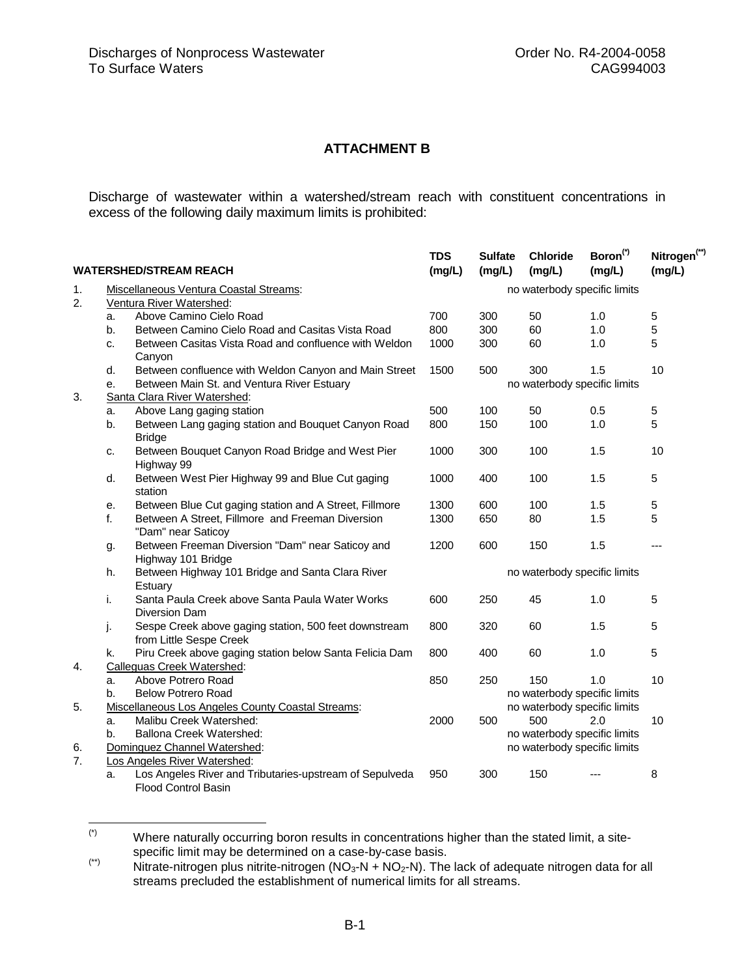## **ATTACHMENT B**

Discharge of wastewater within a watershed/stream reach with constituent concentrations in excess of the following daily maximum limits is prohibited:

| <b>WATERSHED/STREAM REACH</b> |                                                   |                                                                                       | <b>TDS</b><br>(mg/L) | <b>Sulfate</b><br>(mg/L)     | <b>Chloride</b><br>(mg/L)    | Boron <sup>(*)</sup><br>(mg/L) | Nitrogen <sup>(**)</sup><br>(mg/L) |  |  |
|-------------------------------|---------------------------------------------------|---------------------------------------------------------------------------------------|----------------------|------------------------------|------------------------------|--------------------------------|------------------------------------|--|--|
| 1.                            | Miscellaneous Ventura Coastal Streams:            |                                                                                       |                      | no waterbody specific limits |                              |                                |                                    |  |  |
| 2.                            | Ventura River Watershed:                          |                                                                                       |                      |                              |                              |                                |                                    |  |  |
|                               | a.                                                | Above Camino Cielo Road                                                               | 700                  | 300                          | 50                           | 1.0                            | 5                                  |  |  |
|                               | b.                                                | Between Camino Cielo Road and Casitas Vista Road                                      | 800                  | 300                          | 60                           | 1.0                            | 5                                  |  |  |
|                               | c.                                                | Between Casitas Vista Road and confluence with Weldon<br>Canyon                       | 1000                 | 300                          | 60                           | 1.0                            | 5                                  |  |  |
|                               | d.                                                | Between confluence with Weldon Canyon and Main Street                                 | 1500                 | 500                          | 300                          | 1.5                            | 10                                 |  |  |
|                               | е.                                                | Between Main St. and Ventura River Estuary                                            |                      |                              | no waterbody specific limits |                                |                                    |  |  |
| 3.                            |                                                   | Santa Clara River Watershed:                                                          |                      |                              |                              |                                |                                    |  |  |
|                               | a.                                                | Above Lang gaging station                                                             | 500                  | 100                          | 50                           | 0.5                            | 5                                  |  |  |
|                               | b.                                                | Between Lang gaging station and Bouquet Canyon Road<br><b>Bridge</b>                  | 800                  | 150                          | 100                          | 1.0                            | 5                                  |  |  |
|                               | c.                                                | Between Bouquet Canyon Road Bridge and West Pier<br>Highway 99                        | 1000                 | 300                          | 100                          | 1.5                            | 10                                 |  |  |
|                               | d.                                                | Between West Pier Highway 99 and Blue Cut gaging<br>station                           | 1000                 | 400                          | 100                          | 1.5                            | 5                                  |  |  |
|                               | е.                                                | Between Blue Cut gaging station and A Street, Fillmore                                | 1300                 | 600                          | 100                          | 1.5                            | 5                                  |  |  |
|                               | f.                                                | Between A Street, Fillmore and Freeman Diversion<br>"Dam" near Saticoy                | 1300                 | 650                          | 80                           | 1.5                            | 5                                  |  |  |
|                               | g.                                                | Between Freeman Diversion "Dam" near Saticoy and<br>Highway 101 Bridge                | 1200                 | 600                          | 150                          | 1.5                            | ---                                |  |  |
|                               | h.                                                | Between Highway 101 Bridge and Santa Clara River<br>Estuary                           |                      | no waterbody specific limits |                              |                                |                                    |  |  |
|                               | i.                                                | Santa Paula Creek above Santa Paula Water Works<br><b>Diversion Dam</b>               | 600                  | 250                          | 45                           | 1.0                            | 5                                  |  |  |
|                               | j.                                                | Sespe Creek above gaging station, 500 feet downstream<br>from Little Sespe Creek      | 800                  | 320                          | 60                           | 1.5                            | 5                                  |  |  |
|                               | k.                                                | Piru Creek above gaging station below Santa Felicia Dam                               | 800                  | 400                          | 60                           | 1.0                            | 5                                  |  |  |
| 4.                            | Calleguas Creek Watershed:                        |                                                                                       |                      |                              |                              |                                |                                    |  |  |
|                               | a.                                                | Above Potrero Road                                                                    | 850                  | 250                          | 150                          | 1.0                            | 10                                 |  |  |
|                               | b.                                                | <b>Below Potrero Road</b>                                                             |                      |                              | no waterbody specific limits |                                |                                    |  |  |
| 5.                            | Miscellaneous Los Angeles County Coastal Streams: |                                                                                       |                      | no waterbody specific limits |                              |                                |                                    |  |  |
|                               | a.                                                | Malibu Creek Watershed:                                                               | 2000                 | 500                          | 500                          | 2.0                            | 10                                 |  |  |
|                               | Ballona Creek Watershed:<br>b.                    |                                                                                       |                      |                              | no waterbody specific limits |                                |                                    |  |  |
| 6.                            | Dominguez Channel Watershed:                      |                                                                                       |                      |                              | no waterbody specific limits |                                |                                    |  |  |
| 7.                            | Los Angeles River Watershed:                      |                                                                                       |                      |                              |                              |                                |                                    |  |  |
|                               | a.                                                | Los Angeles River and Tributaries-upstream of Sepulveda<br><b>Flood Control Basin</b> | 950                  | 300                          | 150                          |                                | 8                                  |  |  |

 $(\dot{\phantom{a}})$ Where naturally occurring boron results in concentrations higher than the stated limit, a site-<br>specific limit may be determined on a case-by-case basis.

 $s$ <sup>(\*\*</sup>) Nitrate-nitrogen plus nitrite-nitrogen (NO<sub>3</sub>-N + NO<sub>2</sub>-N). The lack of adequate nitrogen data for all streams precluded the establishment of numerical limits for all streams.